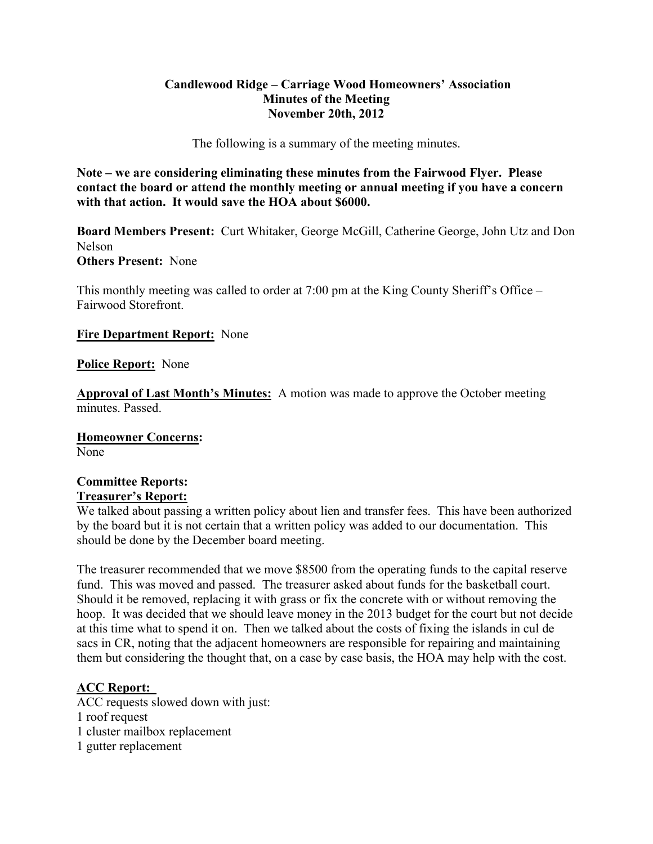# **Candlewood Ridge – Carriage Wood Homeowners' Association Minutes of the Meeting November 20th, 2012**

The following is a summary of the meeting minutes.

**Note – we are considering eliminating these minutes from the Fairwood Flyer. Please contact the board or attend the monthly meeting or annual meeting if you have a concern with that action. It would save the HOA about \$6000.** 

**Board Members Present:** Curt Whitaker, George McGill, Catherine George, John Utz and Don Nelson **Others Present:** None

This monthly meeting was called to order at 7:00 pm at the King County Sheriff's Office – Fairwood Storefront.

## **Fire Department Report:** None

### **Police Report:** None

**Approval of Last Month's Minutes:** A motion was made to approve the October meeting minutes. Passed.

**Homeowner Concerns:**  None

# **Committee Reports: Treasurer's Report:**

We talked about passing a written policy about lien and transfer fees. This have been authorized by the board but it is not certain that a written policy was added to our documentation. This should be done by the December board meeting.

The treasurer recommended that we move \$8500 from the operating funds to the capital reserve fund. This was moved and passed. The treasurer asked about funds for the basketball court. Should it be removed, replacing it with grass or fix the concrete with or without removing the hoop. It was decided that we should leave money in the 2013 budget for the court but not decide at this time what to spend it on. Then we talked about the costs of fixing the islands in cul de sacs in CR, noting that the adjacent homeowners are responsible for repairing and maintaining them but considering the thought that, on a case by case basis, the HOA may help with the cost.

## **ACC Report:**

ACC requests slowed down with just: 1 roof request 1 cluster mailbox replacement 1 gutter replacement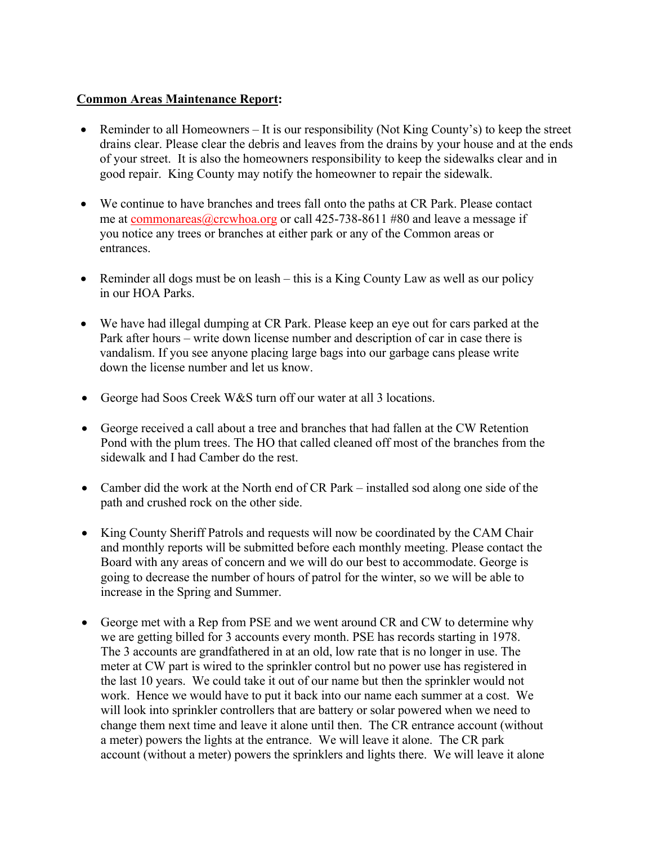# **Common Areas Maintenance Report:**

- **•** Reminder to all Homeowners It is our responsibility (Not King County's) to keep the street drains clear. Please clear the debris and leaves from the drains by your house and at the ends of your street. It is also the homeowners responsibility to keep the sidewalks clear and in good repair. King County may notify the homeowner to repair the sidewalk.
- We continue to have branches and trees fall onto the paths at CR Park. Please contact me at commonareas@crcwhoa.org or call 425-738-8611 #80 and leave a message if you notice any trees or branches at either park or any of the Common areas or entrances.
- Reminder all dogs must be on leash this is a King County Law as well as our policy in our HOA Parks.
- We have had illegal dumping at CR Park. Please keep an eye out for cars parked at the Park after hours – write down license number and description of car in case there is vandalism. If you see anyone placing large bags into our garbage cans please write down the license number and let us know.
- George had Soos Creek W&S turn off our water at all 3 locations.
- George received a call about a tree and branches that had fallen at the CW Retention Pond with the plum trees. The HO that called cleaned off most of the branches from the sidewalk and I had Camber do the rest.
- Camber did the work at the North end of CR Park installed sod along one side of the path and crushed rock on the other side.
- King County Sheriff Patrols and requests will now be coordinated by the CAM Chair and monthly reports will be submitted before each monthly meeting. Please contact the Board with any areas of concern and we will do our best to accommodate. George is going to decrease the number of hours of patrol for the winter, so we will be able to increase in the Spring and Summer.
- George met with a Rep from PSE and we went around CR and CW to determine why we are getting billed for 3 accounts every month. PSE has records starting in 1978. The 3 accounts are grandfathered in at an old, low rate that is no longer in use. The meter at CW part is wired to the sprinkler control but no power use has registered in the last 10 years. We could take it out of our name but then the sprinkler would not work. Hence we would have to put it back into our name each summer at a cost. We will look into sprinkler controllers that are battery or solar powered when we need to change them next time and leave it alone until then. The CR entrance account (without a meter) powers the lights at the entrance. We will leave it alone. The CR park account (without a meter) powers the sprinklers and lights there. We will leave it alone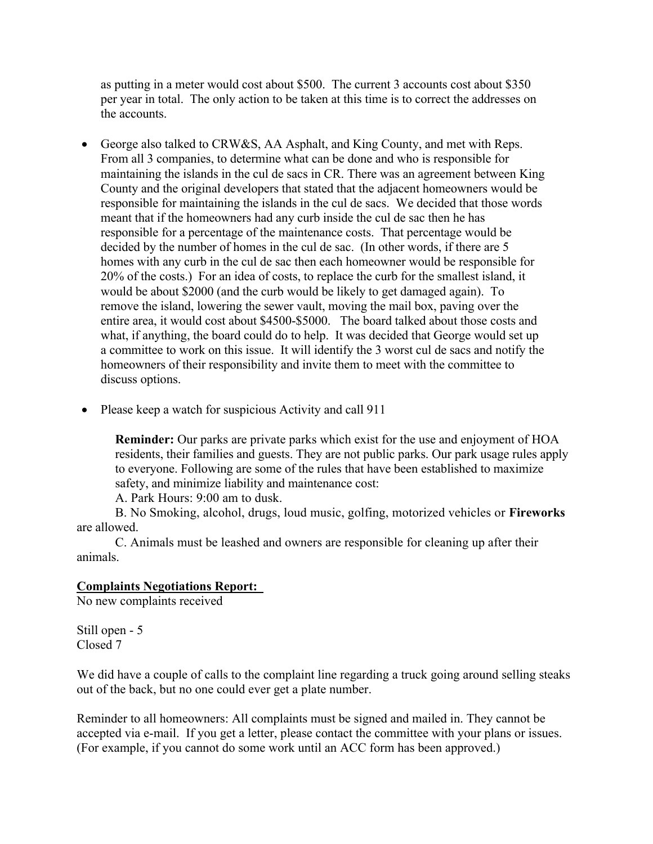as putting in a meter would cost about \$500. The current 3 accounts cost about \$350 per year in total. The only action to be taken at this time is to correct the addresses on the accounts.

- George also talked to CRW&S, AA Asphalt, and King County, and met with Reps. From all 3 companies, to determine what can be done and who is responsible for maintaining the islands in the cul de sacs in CR. There was an agreement between King County and the original developers that stated that the adjacent homeowners would be responsible for maintaining the islands in the cul de sacs. We decided that those words meant that if the homeowners had any curb inside the cul de sac then he has responsible for a percentage of the maintenance costs. That percentage would be decided by the number of homes in the cul de sac. (In other words, if there are 5 homes with any curb in the cul de sac then each homeowner would be responsible for 20% of the costs.) For an idea of costs, to replace the curb for the smallest island, it would be about \$2000 (and the curb would be likely to get damaged again). To remove the island, lowering the sewer vault, moving the mail box, paving over the entire area, it would cost about \$4500-\$5000. The board talked about those costs and what, if anything, the board could do to help. It was decided that George would set up a committee to work on this issue. It will identify the 3 worst cul de sacs and notify the homeowners of their responsibility and invite them to meet with the committee to discuss options.
- Please keep a watch for suspicious Activity and call 911

**Reminder:** Our parks are private parks which exist for the use and enjoyment of HOA residents, their families and guests. They are not public parks. Our park usage rules apply to everyone. Following are some of the rules that have been established to maximize safety, and minimize liability and maintenance cost:

A. Park Hours: 9:00 am to dusk.

B. No Smoking, alcohol, drugs, loud music, golfing, motorized vehicles or **Fireworks**  are allowed.

C. Animals must be leashed and owners are responsible for cleaning up after their animals.

## **Complaints Negotiations Report:**

No new complaints received

Still open - 5 Closed 7

We did have a couple of calls to the complaint line regarding a truck going around selling steaks out of the back, but no one could ever get a plate number.

Reminder to all homeowners: All complaints must be signed and mailed in. They cannot be accepted via e-mail. If you get a letter, please contact the committee with your plans or issues. (For example, if you cannot do some work until an ACC form has been approved.)